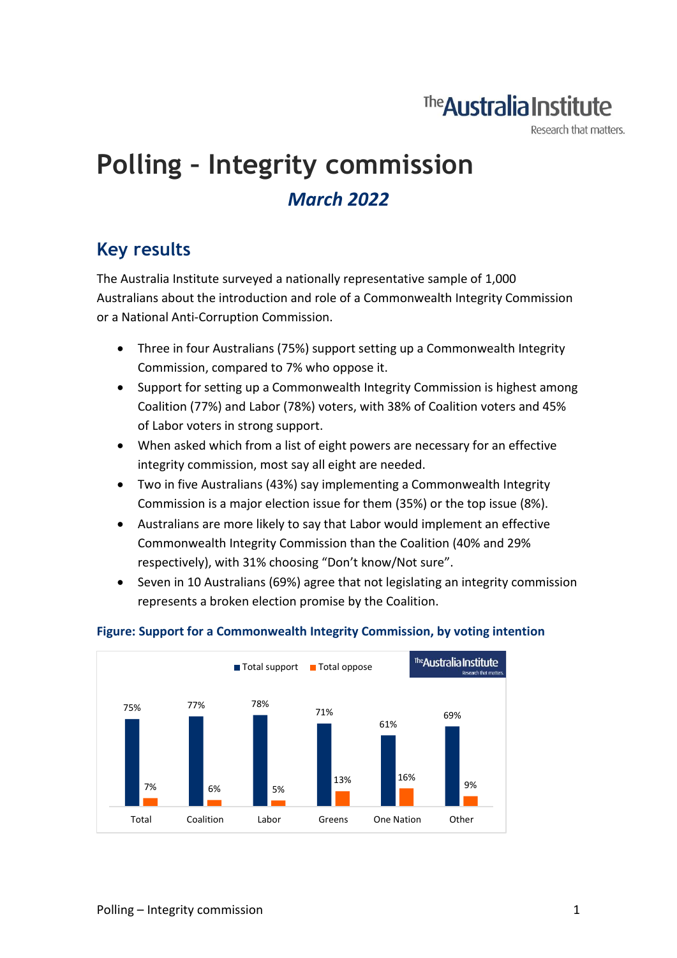## **The Australia Institute**

Research that matters.

# **Polling – Integrity commission**  *March 2022*

### **Key results**

The Australia Institute surveyed a nationally representative sample of 1,000 Australians about the introduction and role of a Commonwealth Integrity Commission or a National Anti-Corruption Commission.

- Three in four Australians (75%) support setting up a Commonwealth Integrity Commission, compared to 7% who oppose it.
- Support for setting up a Commonwealth Integrity Commission is highest among Coalition (77%) and Labor (78%) voters, with 38% of Coalition voters and 45% of Labor voters in strong support.
- When asked which from a list of eight powers are necessary for an effective integrity commission, most say all eight are needed.
- Two in five Australians (43%) say implementing a Commonwealth Integrity Commission is a major election issue for them (35%) or the top issue (8%).
- Australians are more likely to say that Labor would implement an effective Commonwealth Integrity Commission than the Coalition (40% and 29% respectively), with 31% choosing "Don't know/Not sure".
- Seven in 10 Australians (69%) agree that not legislating an integrity commission represents a broken election promise by the Coalition.



#### **Figure: Support for a Commonwealth Integrity Commission, by voting intention**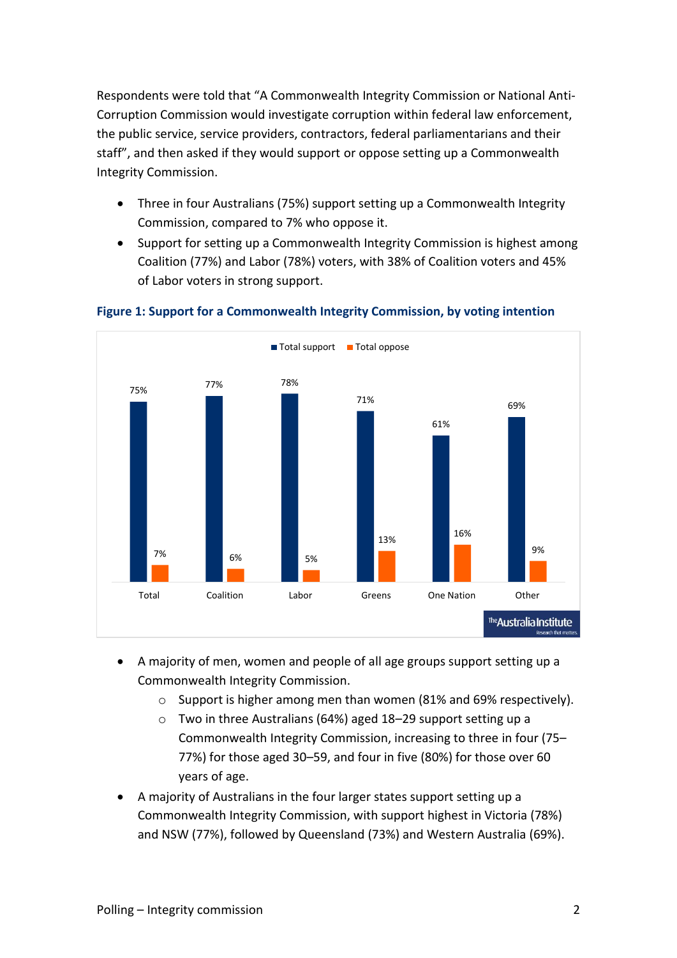Respondents were told that "A Commonwealth Integrity Commission or National Anti-Corruption Commission would investigate corruption within federal law enforcement, the public service, service providers, contractors, federal parliamentarians and their staff", and then asked if they would support or oppose setting up a Commonwealth Integrity Commission.

- Three in four Australians (75%) support setting up a Commonwealth Integrity Commission, compared to 7% who oppose it.
- Support for setting up a Commonwealth Integrity Commission is highest among Coalition (77%) and Labor (78%) voters, with 38% of Coalition voters and 45% of Labor voters in strong support.



#### **Figure 1: Support for a Commonwealth Integrity Commission, by voting intention**

- A majority of men, women and people of all age groups support setting up a Commonwealth Integrity Commission.
	- o Support is higher among men than women (81% and 69% respectively).
	- o Two in three Australians (64%) aged 18–29 support setting up a Commonwealth Integrity Commission, increasing to three in four (75– 77%) for those aged 30–59, and four in five (80%) for those over 60 years of age.
- A majority of Australians in the four larger states support setting up a Commonwealth Integrity Commission, with support highest in Victoria (78%) and NSW (77%), followed by Queensland (73%) and Western Australia (69%).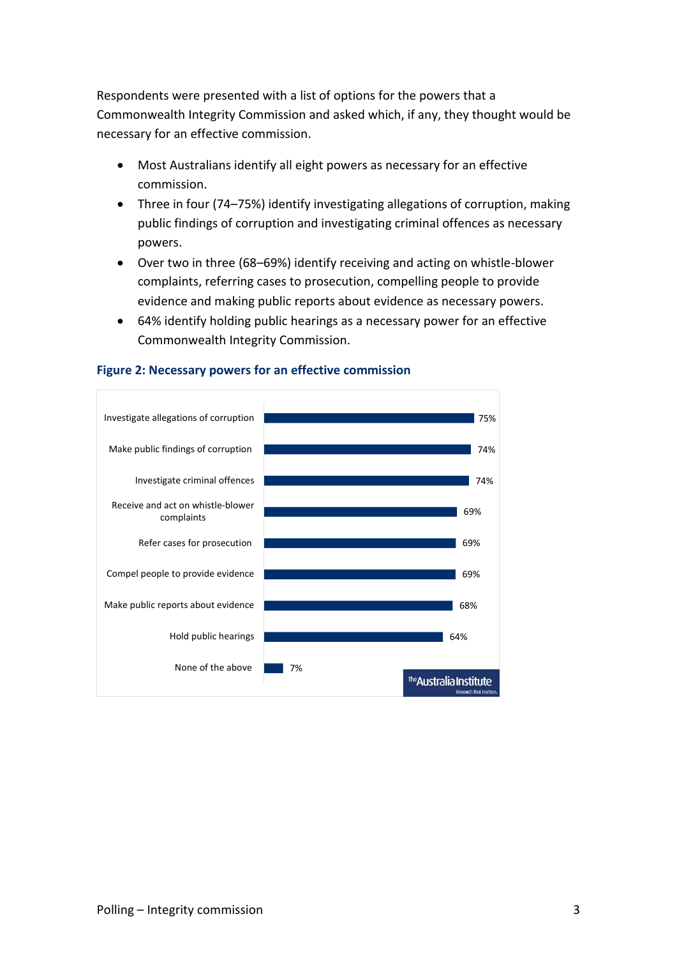Respondents were presented with a list of options for the powers that a Commonwealth Integrity Commission and asked which, if any, they thought would be necessary for an effective commission.

- Most Australians identify all eight powers as necessary for an effective commission.
- Three in four (74–75%) identify investigating allegations of corruption, making public findings of corruption and investigating criminal offences as necessary powers.
- Over two in three (68–69%) identify receiving and acting on whistle-blower complaints, referring cases to prosecution, compelling people to provide evidence and making public reports about evidence as necessary powers.
- 64% identify holding public hearings as a necessary power for an effective Commonwealth Integrity Commission.



#### **Figure 2: Necessary powers for an effective commission**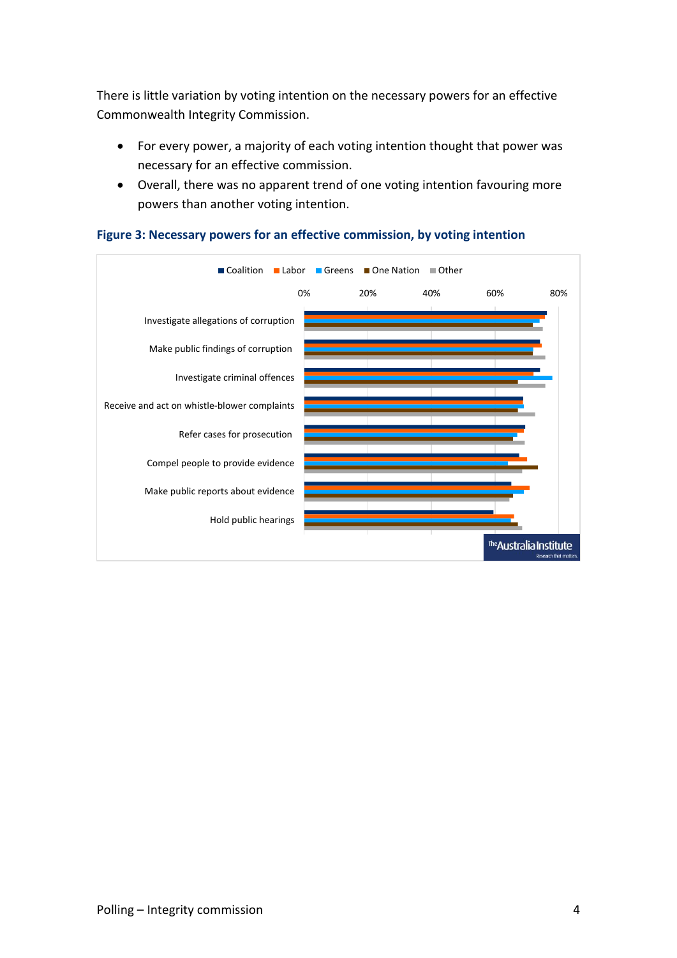There is little variation by voting intention on the necessary powers for an effective Commonwealth Integrity Commission.

- For every power, a majority of each voting intention thought that power was necessary for an effective commission.
- Overall, there was no apparent trend of one voting intention favouring more powers than another voting intention.



#### **Figure 3: Necessary powers for an effective commission, by voting intention**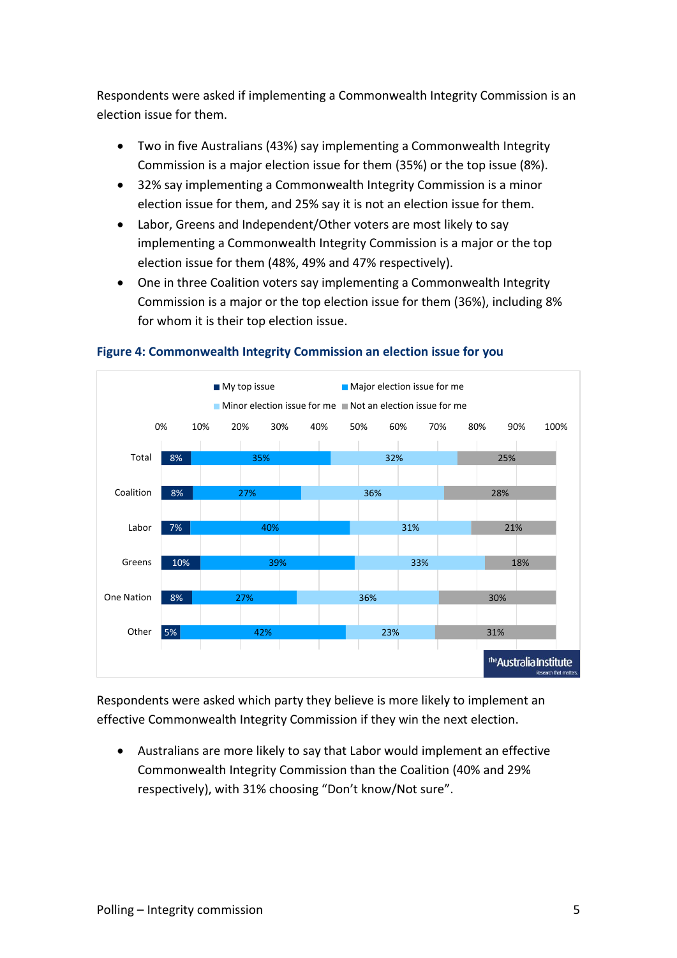Respondents were asked if implementing a Commonwealth Integrity Commission is an election issue for them.

- Two in five Australians (43%) say implementing a Commonwealth Integrity Commission is a major election issue for them (35%) or the top issue (8%).
- 32% say implementing a Commonwealth Integrity Commission is a minor election issue for them, and 25% say it is not an election issue for them.
- Labor, Greens and Independent/Other voters are most likely to say implementing a Commonwealth Integrity Commission is a major or the top election issue for them (48%, 49% and 47% respectively).
- One in three Coalition voters say implementing a Commonwealth Integrity Commission is a major or the top election issue for them (36%), including 8% for whom it is their top election issue.



#### **Figure 4: Commonwealth Integrity Commission an election issue for you**

Respondents were asked which party they believe is more likely to implement an effective Commonwealth Integrity Commission if they win the next election.

• Australians are more likely to say that Labor would implement an effective Commonwealth Integrity Commission than the Coalition (40% and 29% respectively), with 31% choosing "Don't know/Not sure".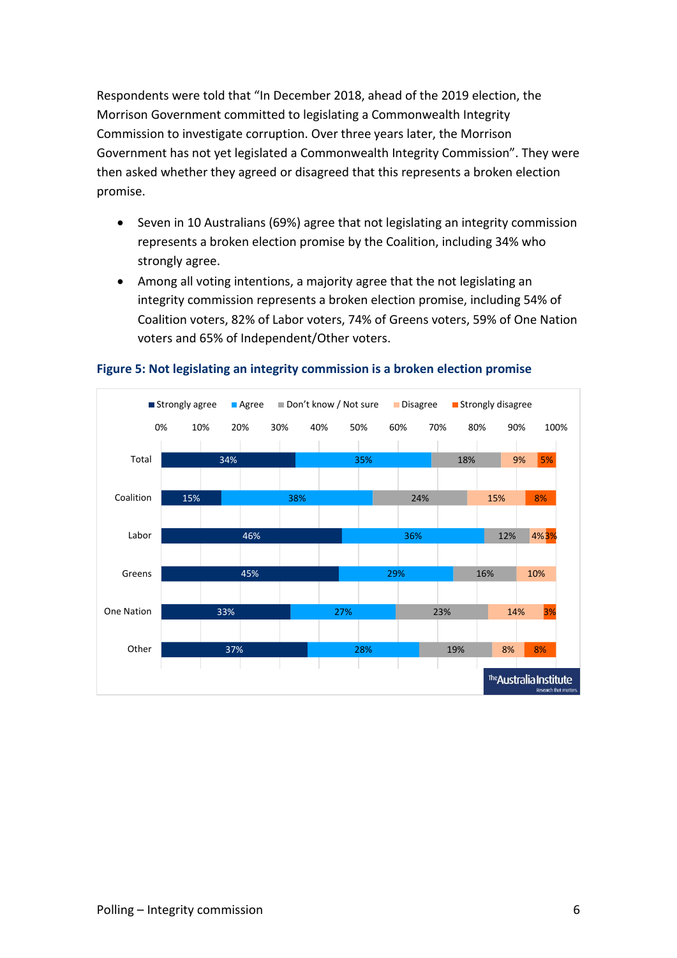Respondents were told that "In December 2018, ahead of the 2019 election, the Morrison Government committed to legislating a Commonwealth Integrity Commission to investigate corruption. Over three years later, the Morrison Government has not yet legislated a Commonwealth Integrity Commission". They were then asked whether they agreed or disagreed that this represents a broken election promise.

- Seven in 10 Australians (69%) agree that not legislating an integrity commission represents a broken election promise by the Coalition, including 34% who strongly agree.
- Among all voting intentions, a majority agree that the not legislating an integrity commission represents a broken election promise, including 54% of Coalition voters, 82% of Labor voters, 74% of Greens voters, 59% of One Nation voters and 65% of Independent/Other voters.



#### **Figure 5: Not legislating an integrity commission is a broken election promise**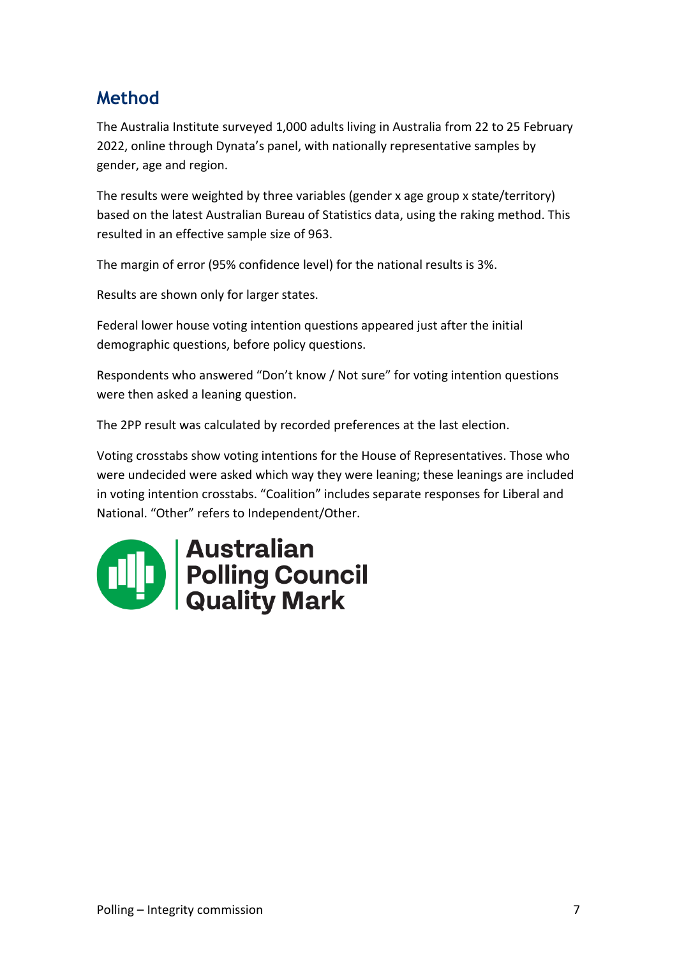## **Method**

The Australia Institute surveyed 1,000 adults living in Australia from 22 to 25 February 2022, online through Dynata's panel, with nationally representative samples by gender, age and region.

The results were weighted by three variables (gender x age group x state/territory) based on the latest Australian Bureau of Statistics data, using the raking method. This resulted in an effective sample size of 963.

The margin of error (95% confidence level) for the national results is 3%.

Results are shown only for larger states.

Federal lower house voting intention questions appeared just after the initial demographic questions, before policy questions.

Respondents who answered "Don't know / Not sure" for voting intention questions were then asked a leaning question.

The 2PP result was calculated by recorded preferences at the last election.

Voting crosstabs show voting intentions for the House of Representatives. Those who were undecided were asked which way they were leaning; these leanings are included in voting intention crosstabs. "Coalition" includes separate responses for Liberal and National. "Other" refers to Independent/Other.

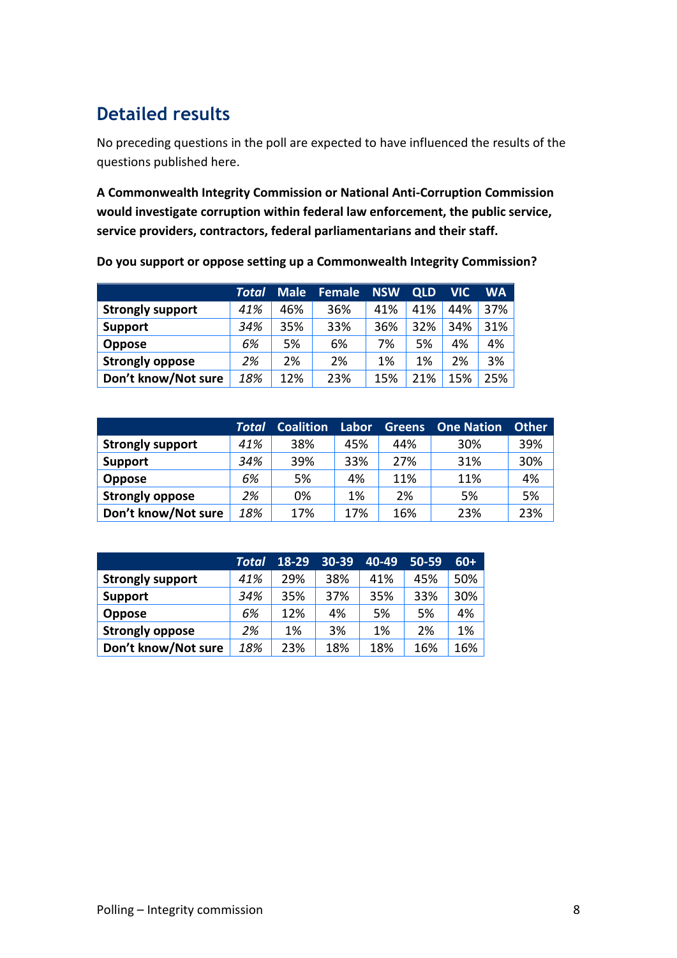## **Detailed results**

No preceding questions in the poll are expected to have influenced the results of the questions published here.

**A Commonwealth Integrity Commission or National Anti-Corruption Commission would investigate corruption within federal law enforcement, the public service, service providers, contractors, federal parliamentarians and their staff.**

|                         | Total | <b>Male</b> | <b>Female</b> | <b>NSW</b> | <b>OLD</b> | VIC | <b>WA</b> |
|-------------------------|-------|-------------|---------------|------------|------------|-----|-----------|
| <b>Strongly support</b> | 41%   | 46%         | 36%           | 41%        | 41%        | 44% | 37%       |
| <b>Support</b>          | 34%   | 35%         | 33%           | 36%        | 32%        | 34% | 31%       |
| <b>Oppose</b>           | 6%    | 5%          | 6%            | 7%         | 5%         | 4%  | 4%        |
| <b>Strongly oppose</b>  | 2%    | 2%          | 2%            | 1%         | 1%         | 2%  | 3%        |
| Don't know/Not sure     | 18%   | 12%         | 23%           | 15%        | 21%        | 15% | 25%       |

**Do you support or oppose setting up a Commonwealth Integrity Commission?**

|                         | Total | <b>Coalition</b> | Labor | <b>Greens</b> | <b>One Nation</b> | <b>Other</b> |
|-------------------------|-------|------------------|-------|---------------|-------------------|--------------|
| <b>Strongly support</b> | 41%   | 38%              | 45%   | 44%           | 30%               | 39%          |
| <b>Support</b>          | 34%   | 39%              | 33%   | 27%           | 31%               | 30%          |
| <b>Oppose</b>           | 6%    | 5%               | 4%    | 11%           | 11%               | 4%           |
| <b>Strongly oppose</b>  | 2%    | 0%               | 1%    | 2%            | 5%                | 5%           |
| Don't know/Not sure     | 18%   | 17%              | 17%   | 16%           | 23%               | 23%          |

|                         | Total | 18-29 | 30-39 | 40-49 | $50 - 59$ | $60+$ |
|-------------------------|-------|-------|-------|-------|-----------|-------|
| <b>Strongly support</b> | 41%   | 29%   | 38%   | 41%   | 45%       | 50%   |
| <b>Support</b>          | 34%   | 35%   | 37%   | 35%   | 33%       | 30%   |
| <b>Oppose</b>           | 6%    | 12%   | 4%    | 5%    | 5%        | 4%    |
| <b>Strongly oppose</b>  | 2%    | 1%    | 3%    | 1%    | 2%        | 1%    |
| Don't know/Not sure     | 18%   | 23%   | 18%   | 18%   | 16%       | 16%   |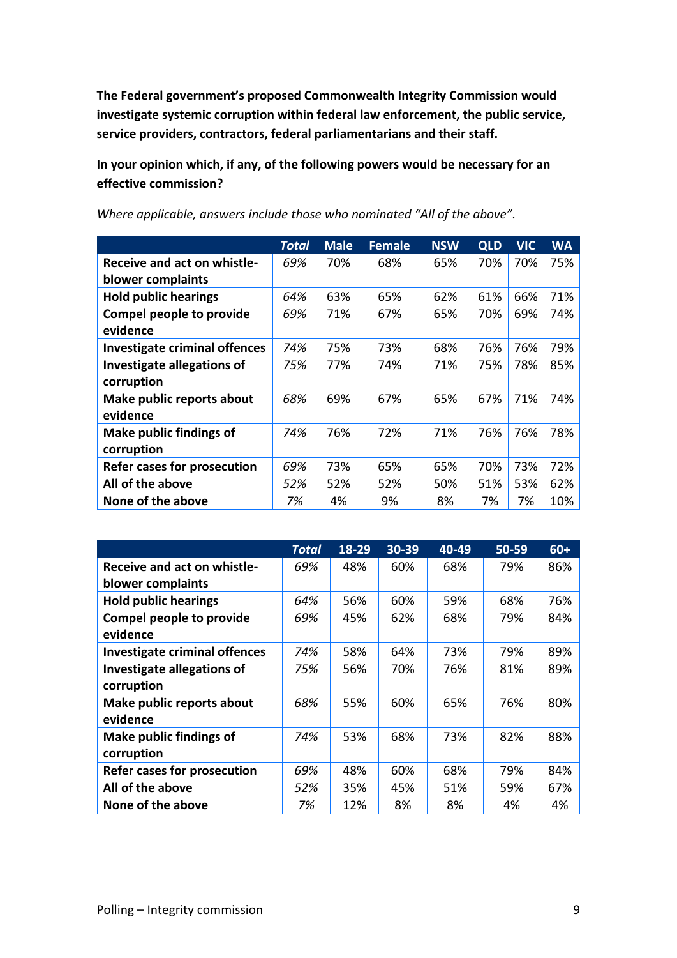**The Federal government's proposed Commonwealth Integrity Commission would investigate systemic corruption within federal law enforcement, the public service, service providers, contractors, federal parliamentarians and their staff.**

**In your opinion which, if any, of the following powers would be necessary for an effective commission?**

|                                      | Total | <b>Male</b> | <b>Female</b> | <b>NSW</b> | <b>QLD</b> | <b>VIC</b> | <b>WA</b> |
|--------------------------------------|-------|-------------|---------------|------------|------------|------------|-----------|
| <b>Receive and act on whistle-</b>   | 69%   | 70%         | 68%           | 65%        | 70%        | 70%        | 75%       |
| blower complaints                    |       |             |               |            |            |            |           |
| <b>Hold public hearings</b>          | 64%   | 63%         | 65%           | 62%        | 61%        | 66%        | 71%       |
| Compel people to provide             | 69%   | 71%         | 67%           | 65%        | 70%        | 69%        | 74%       |
| evidence                             |       |             |               |            |            |            |           |
| <b>Investigate criminal offences</b> | 74%   | 75%         | 73%           | 68%        | 76%        | 76%        | 79%       |
| Investigate allegations of           | 75%   | 77%         | 74%           | 71%        | 75%        | 78%        | 85%       |
| corruption                           |       |             |               |            |            |            |           |
| Make public reports about            | 68%   | 69%         | 67%           | 65%        | 67%        | 71%        | 74%       |
| evidence                             |       |             |               |            |            |            |           |
| <b>Make public findings of</b>       | 74%   | 76%         | 72%           | 71%        | 76%        | 76%        | 78%       |
| corruption                           |       |             |               |            |            |            |           |
| Refer cases for prosecution          | 69%   | 73%         | 65%           | 65%        | 70%        | 73%        | 72%       |
| All of the above                     | 52%   | 52%         | 52%           | 50%        | 51%        | 53%        | 62%       |
| None of the above                    | 7%    | 4%          | 9%            | 8%         | 7%         | 7%         | 10%       |

*Where applicable, answers include those who nominated "All of the above".* 

|                                      | Total | 18-29 | 30-39 | 40-49 | 50-59 | $60+$ |
|--------------------------------------|-------|-------|-------|-------|-------|-------|
| Receive and act on whistle-          | 69%   | 48%   | 60%   | 68%   | 79%   | 86%   |
| blower complaints                    |       |       |       |       |       |       |
| <b>Hold public hearings</b>          | 64%   | 56%   | 60%   | 59%   | 68%   | 76%   |
| Compel people to provide             | 69%   | 45%   | 62%   | 68%   | 79%   | 84%   |
| evidence                             |       |       |       |       |       |       |
| <b>Investigate criminal offences</b> | 74%   | 58%   | 64%   | 73%   | 79%   | 89%   |
| <b>Investigate allegations of</b>    | 75%   | 56%   | 70%   | 76%   | 81%   | 89%   |
| corruption                           |       |       |       |       |       |       |
| Make public reports about            | 68%   | 55%   | 60%   | 65%   | 76%   | 80%   |
| evidence                             |       |       |       |       |       |       |
| Make public findings of              | 74%   | 53%   | 68%   | 73%   | 82%   | 88%   |
| corruption                           |       |       |       |       |       |       |
| Refer cases for prosecution          | 69%   | 48%   | 60%   | 68%   | 79%   | 84%   |
| All of the above                     | 52%   | 35%   | 45%   | 51%   | 59%   | 67%   |
| None of the above                    | 7%    | 12%   | 8%    | 8%    | 4%    | 4%    |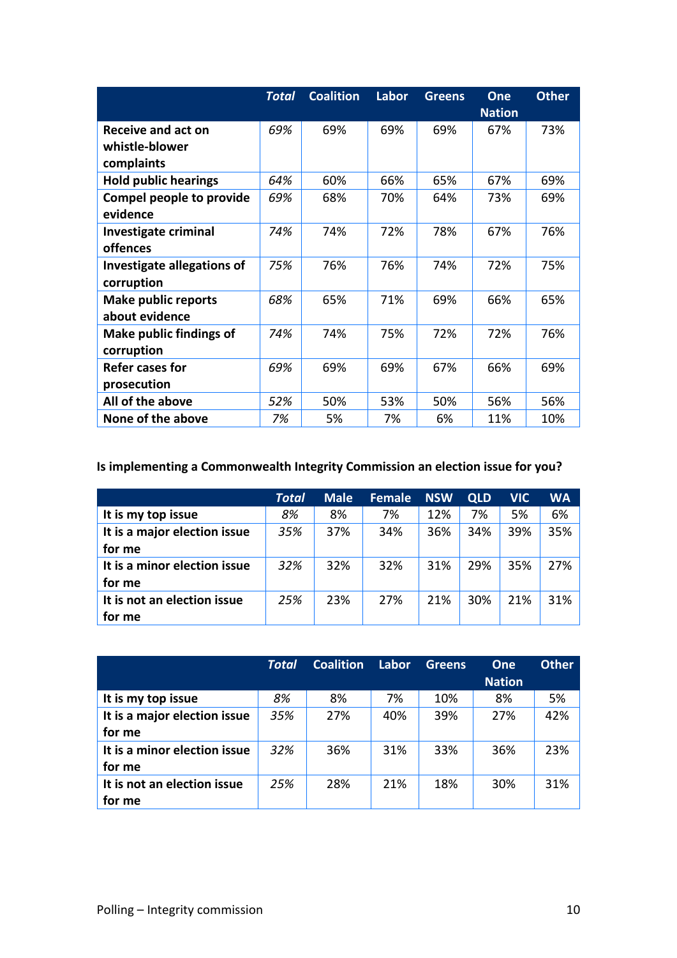|                                                 | Total | <b>Coalition</b> | Labor | <b>Greens</b> | One           | <b>Other</b> |
|-------------------------------------------------|-------|------------------|-------|---------------|---------------|--------------|
|                                                 |       |                  |       |               | <b>Nation</b> |              |
| <b>Receive and act on</b>                       | 69%   | 69%              | 69%   | 69%           | 67%           | 73%          |
| whistle-blower<br>complaints                    |       |                  |       |               |               |              |
| <b>Hold public hearings</b>                     | 64%   | 60%              | 66%   | 65%           | 67%           | 69%          |
| Compel people to provide<br>evidence            | 69%   | 68%              | 70%   | 64%           | 73%           | 69%          |
| <b>Investigate criminal</b><br>offences         | 74%   | 74%              | 72%   | 78%           | 67%           | 76%          |
| <b>Investigate allegations of</b><br>corruption | 75%   | 76%              | 76%   | 74%           | 72%           | 75%          |
| <b>Make public reports</b><br>about evidence    | 68%   | 65%              | 71%   | 69%           | 66%           | 65%          |
| <b>Make public findings of</b><br>corruption    | 74%   | 74%              | 75%   | 72%           | 72%           | 76%          |
| Refer cases for<br>prosecution                  | 69%   | 69%              | 69%   | 67%           | 66%           | 69%          |
| All of the above                                | 52%   | 50%              | 53%   | 50%           | 56%           | 56%          |
| None of the above                               | 7%    | 5%               | 7%    | 6%            | 11%           | 10%          |

#### **Is implementing a Commonwealth Integrity Commission an election issue for you?**

|                                        | <b>Total</b> | <b>Male</b> | <b>Female</b> | <b>NSW</b> | <b>QLD</b> | <b>VIC</b> | <b>WA</b> |
|----------------------------------------|--------------|-------------|---------------|------------|------------|------------|-----------|
| It is my top issue                     | 8%           | 8%          | 7%            | 12%        | 7%         | 5%         | 6%        |
| It is a major election issue<br>for me | 35%          | 37%         | 34%           | 36%        | 34%        | 39%        | 35%       |
| It is a minor election issue<br>for me | 32%          | 32%         | 32%           | 31%        | 29%        | 35%        | 27%       |
| It is not an election issue<br>for me  | 25%          | 23%         | 27%           | 21%        | 30%        | 21%        | 31%       |

|                                        | Total | <b>Coalition</b> | Labor | <b>Greens</b> | One<br><b>Nation</b> | <b>Other</b> |
|----------------------------------------|-------|------------------|-------|---------------|----------------------|--------------|
| It is my top issue                     | 8%    | 8%               | 7%    | 10%           | 8%                   | 5%           |
| It is a major election issue<br>for me | 35%   | 27%              | 40%   | 39%           | 27%                  | 42%          |
| It is a minor election issue<br>for me | 32%   | 36%              | 31%   | 33%           | 36%                  | 23%          |
| It is not an election issue<br>for me  | 25%   | 28%              | 21%   | 18%           | 30%                  | 31%          |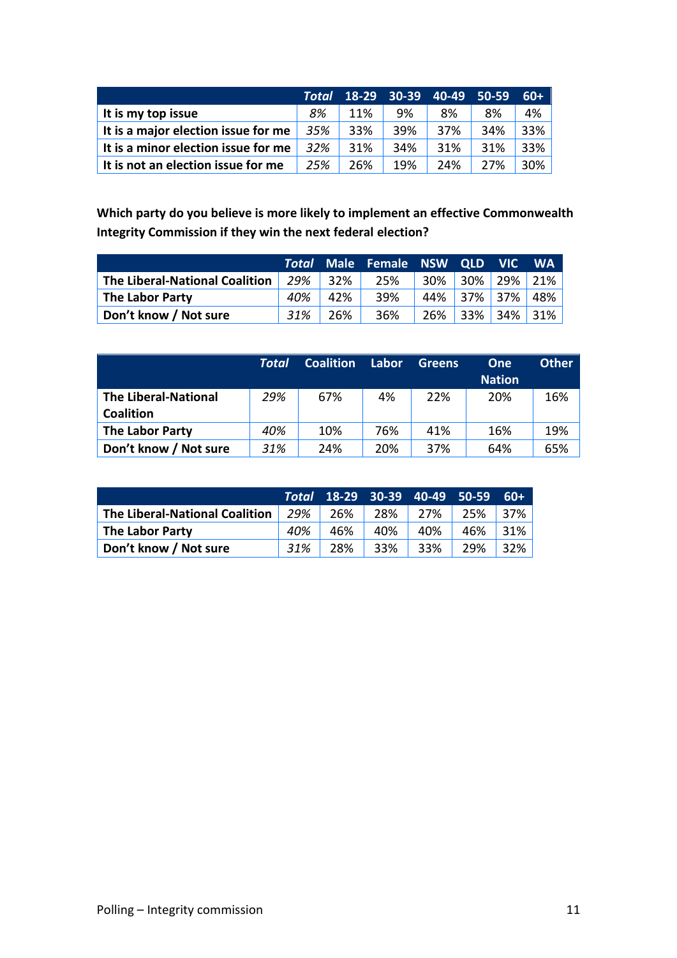|                                     |            |     |     | Total 18-29 30-39 40-49 50-59 |     | 60+             |
|-------------------------------------|------------|-----|-----|-------------------------------|-----|-----------------|
| It is my top issue                  | 8%         | 11% | 9%  | 8%                            | 8%  | 4%              |
| It is a major election issue for me | 35%        | 33% | 39% | 37%                           | 34% | 33%             |
| It is a minor election issue for me | <b>32%</b> | 31% | 34% | 31%                           | 31% | 33%             |
| It is not an election issue for me  | 25%        | 26% | 19% | 24%                           | 27% | 30 <sup>%</sup> |

**Which party do you believe is more likely to implement an effective Commonwealth Integrity Commission if they win the next federal election?**

|                                |     |         | Total Male Female NSW QLD VIC WA |     |                 |  |
|--------------------------------|-----|---------|----------------------------------|-----|-----------------|--|
| The Liberal-National Coalition |     | 29% 32% | 25%                              |     | 30% 30% 29% 21% |  |
| The Labor Party                | 40% | $ 42\%$ | 39%                              |     | 44% 37% 37% 48% |  |
| Don't know / Not sure          | 31% | -26%    | 36%                              | 26% | 33%   34%   31% |  |

|                                                 | Total | <b>Coalition</b> | Labor | <b>Greens</b> | <b>One</b><br><b>Nation</b> | <b>Other</b> |
|-------------------------------------------------|-------|------------------|-------|---------------|-----------------------------|--------------|
| <b>The Liberal-National</b><br><b>Coalition</b> | 29%   | 67%              | 4%    | 22%           | 20%                         | 16%          |
| The Labor Party                                 | 40%   | 10%              | 76%   | 41%           | 16%                         | 19%          |
| Don't know / Not sure                           | 31%   | 24%              | 20%   | 37%           | 64%                         | 65%          |

|                                       |     | Total 18-29 30-39 40-49 50-59 |     |     |     | -60+       |
|---------------------------------------|-----|-------------------------------|-----|-----|-----|------------|
| <b>The Liberal-National Coalition</b> | 29% | 26%                           | 28% | 27% | 25% | <b>37%</b> |
| The Labor Party                       | 40% | 46%                           | 40% | 40% | 46% | 31%        |
| Don't know / Not sure                 | 31% | 28%                           | 33% | 33% | 29% | 32%        |